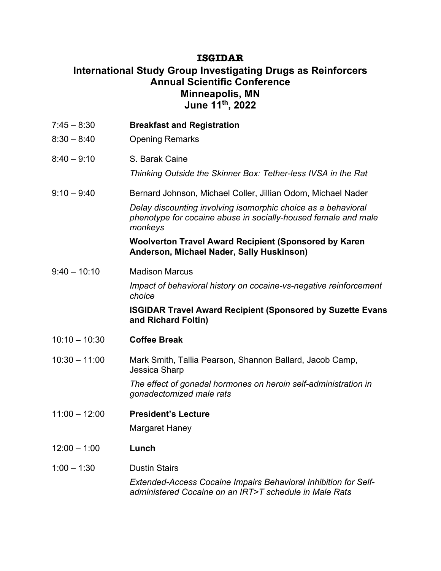## **ISGIDAR**

## **International Study Group Investigating Drugs as Reinforcers Annual Scientific Conference Minneapolis, MN June 11th, 2022**

| $7:45 - 8:30$   | <b>Breakfast and Registration</b>                                                                                                          |
|-----------------|--------------------------------------------------------------------------------------------------------------------------------------------|
| $8:30 - 8:40$   | <b>Opening Remarks</b>                                                                                                                     |
| $8:40 - 9:10$   | S. Barak Caine                                                                                                                             |
|                 | Thinking Outside the Skinner Box: Tether-less IVSA in the Rat                                                                              |
| $9:10 - 9:40$   | Bernard Johnson, Michael Coller, Jillian Odom, Michael Nader                                                                               |
|                 | Delay discounting involving isomorphic choice as a behavioral<br>phenotype for cocaine abuse in socially-housed female and male<br>monkeys |
|                 | <b>Woolverton Travel Award Recipient (Sponsored by Karen</b><br>Anderson, Michael Nader, Sally Huskinson)                                  |
| $9:40 - 10:10$  | <b>Madison Marcus</b>                                                                                                                      |
|                 | Impact of behavioral history on cocaine-vs-negative reinforcement<br>choice                                                                |
|                 | <b>ISGIDAR Travel Award Recipient (Sponsored by Suzette Evans</b><br>and Richard Foltin)                                                   |
| $10:10 - 10:30$ | <b>Coffee Break</b>                                                                                                                        |
| $10:30 - 11:00$ | Mark Smith, Tallia Pearson, Shannon Ballard, Jacob Camp,<br>Jessica Sharp                                                                  |
|                 | The effect of gonadal hormones on heroin self-administration in<br>gonadectomized male rats                                                |
| $11:00 - 12:00$ | <b>President's Lecture</b>                                                                                                                 |
|                 | <b>Margaret Haney</b>                                                                                                                      |
| $12:00 - 1:00$  | Lunch                                                                                                                                      |
| $1:00 - 1:30$   | <b>Dustin Stairs</b>                                                                                                                       |
|                 | Extended-Access Cocaine Impairs Behavioral Inhibition for Self-<br>administered Cocaine on an IRT>T schedule in Male Rats                  |